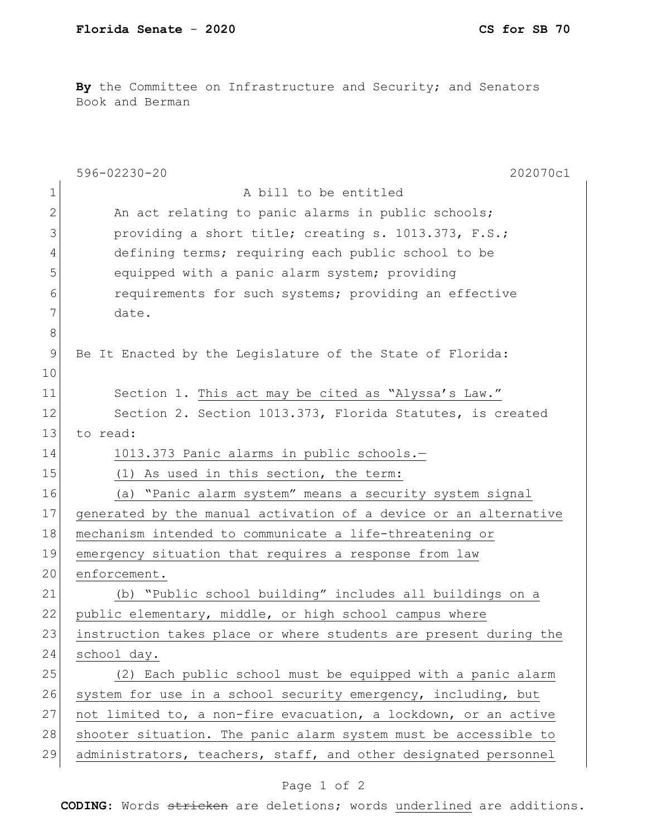**By** the Committee on Infrastructure and Security; and Senators Book and Berman

| $\mathbf 1$<br>A bill to be entitled<br>2<br>An act relating to panic alarms in public schools;<br>3<br>providing a short title; creating s. 1013.373, F.S.;<br>defining terms; requiring each public school to be<br>4<br>5<br>equipped with a panic alarm system; providing<br>requirements for such systems; providing an effective<br>6<br>7<br>date.<br>8<br>9<br>Be It Enacted by the Legislature of the State of Florida:<br>10<br>11<br>Section 1. This act may be cited as "Alyssa's Law."<br>12<br>Section 2. Section 1013.373, Florida Statutes, is created<br>13<br>to read:<br>14<br>1013.373 Panic alarms in public schools.-<br>15<br>(1) As used in this section, the term:<br>16<br>(a) "Panic alarm system" means a security system signal<br>17<br>18<br>mechanism intended to communicate a life-threatening or<br>19<br>emergency situation that requires a response from law<br>20<br>enforcement.<br>21<br>(b) "Public school building" includes all buildings on a<br>22<br>public elementary, middle, or high school campus where<br>23<br>24<br>school day.<br>25<br>26<br>system for use in a school security emergency, including, but<br>27<br>28<br>29 | $596 - 02230 - 20$<br>202070c1                                   |
|--------------------------------------------------------------------------------------------------------------------------------------------------------------------------------------------------------------------------------------------------------------------------------------------------------------------------------------------------------------------------------------------------------------------------------------------------------------------------------------------------------------------------------------------------------------------------------------------------------------------------------------------------------------------------------------------------------------------------------------------------------------------------------------------------------------------------------------------------------------------------------------------------------------------------------------------------------------------------------------------------------------------------------------------------------------------------------------------------------------------------------------------------------------------------------------|------------------------------------------------------------------|
|                                                                                                                                                                                                                                                                                                                                                                                                                                                                                                                                                                                                                                                                                                                                                                                                                                                                                                                                                                                                                                                                                                                                                                                      |                                                                  |
|                                                                                                                                                                                                                                                                                                                                                                                                                                                                                                                                                                                                                                                                                                                                                                                                                                                                                                                                                                                                                                                                                                                                                                                      |                                                                  |
|                                                                                                                                                                                                                                                                                                                                                                                                                                                                                                                                                                                                                                                                                                                                                                                                                                                                                                                                                                                                                                                                                                                                                                                      |                                                                  |
|                                                                                                                                                                                                                                                                                                                                                                                                                                                                                                                                                                                                                                                                                                                                                                                                                                                                                                                                                                                                                                                                                                                                                                                      |                                                                  |
|                                                                                                                                                                                                                                                                                                                                                                                                                                                                                                                                                                                                                                                                                                                                                                                                                                                                                                                                                                                                                                                                                                                                                                                      |                                                                  |
|                                                                                                                                                                                                                                                                                                                                                                                                                                                                                                                                                                                                                                                                                                                                                                                                                                                                                                                                                                                                                                                                                                                                                                                      |                                                                  |
|                                                                                                                                                                                                                                                                                                                                                                                                                                                                                                                                                                                                                                                                                                                                                                                                                                                                                                                                                                                                                                                                                                                                                                                      |                                                                  |
|                                                                                                                                                                                                                                                                                                                                                                                                                                                                                                                                                                                                                                                                                                                                                                                                                                                                                                                                                                                                                                                                                                                                                                                      |                                                                  |
|                                                                                                                                                                                                                                                                                                                                                                                                                                                                                                                                                                                                                                                                                                                                                                                                                                                                                                                                                                                                                                                                                                                                                                                      |                                                                  |
|                                                                                                                                                                                                                                                                                                                                                                                                                                                                                                                                                                                                                                                                                                                                                                                                                                                                                                                                                                                                                                                                                                                                                                                      |                                                                  |
|                                                                                                                                                                                                                                                                                                                                                                                                                                                                                                                                                                                                                                                                                                                                                                                                                                                                                                                                                                                                                                                                                                                                                                                      |                                                                  |
|                                                                                                                                                                                                                                                                                                                                                                                                                                                                                                                                                                                                                                                                                                                                                                                                                                                                                                                                                                                                                                                                                                                                                                                      |                                                                  |
|                                                                                                                                                                                                                                                                                                                                                                                                                                                                                                                                                                                                                                                                                                                                                                                                                                                                                                                                                                                                                                                                                                                                                                                      |                                                                  |
|                                                                                                                                                                                                                                                                                                                                                                                                                                                                                                                                                                                                                                                                                                                                                                                                                                                                                                                                                                                                                                                                                                                                                                                      |                                                                  |
|                                                                                                                                                                                                                                                                                                                                                                                                                                                                                                                                                                                                                                                                                                                                                                                                                                                                                                                                                                                                                                                                                                                                                                                      |                                                                  |
|                                                                                                                                                                                                                                                                                                                                                                                                                                                                                                                                                                                                                                                                                                                                                                                                                                                                                                                                                                                                                                                                                                                                                                                      |                                                                  |
|                                                                                                                                                                                                                                                                                                                                                                                                                                                                                                                                                                                                                                                                                                                                                                                                                                                                                                                                                                                                                                                                                                                                                                                      | generated by the manual activation of a device or an alternative |
|                                                                                                                                                                                                                                                                                                                                                                                                                                                                                                                                                                                                                                                                                                                                                                                                                                                                                                                                                                                                                                                                                                                                                                                      |                                                                  |
|                                                                                                                                                                                                                                                                                                                                                                                                                                                                                                                                                                                                                                                                                                                                                                                                                                                                                                                                                                                                                                                                                                                                                                                      |                                                                  |
|                                                                                                                                                                                                                                                                                                                                                                                                                                                                                                                                                                                                                                                                                                                                                                                                                                                                                                                                                                                                                                                                                                                                                                                      |                                                                  |
|                                                                                                                                                                                                                                                                                                                                                                                                                                                                                                                                                                                                                                                                                                                                                                                                                                                                                                                                                                                                                                                                                                                                                                                      |                                                                  |
|                                                                                                                                                                                                                                                                                                                                                                                                                                                                                                                                                                                                                                                                                                                                                                                                                                                                                                                                                                                                                                                                                                                                                                                      |                                                                  |
|                                                                                                                                                                                                                                                                                                                                                                                                                                                                                                                                                                                                                                                                                                                                                                                                                                                                                                                                                                                                                                                                                                                                                                                      | instruction takes place or where students are present during the |
|                                                                                                                                                                                                                                                                                                                                                                                                                                                                                                                                                                                                                                                                                                                                                                                                                                                                                                                                                                                                                                                                                                                                                                                      |                                                                  |
|                                                                                                                                                                                                                                                                                                                                                                                                                                                                                                                                                                                                                                                                                                                                                                                                                                                                                                                                                                                                                                                                                                                                                                                      | (2) Each public school must be equipped with a panic alarm       |
|                                                                                                                                                                                                                                                                                                                                                                                                                                                                                                                                                                                                                                                                                                                                                                                                                                                                                                                                                                                                                                                                                                                                                                                      |                                                                  |
|                                                                                                                                                                                                                                                                                                                                                                                                                                                                                                                                                                                                                                                                                                                                                                                                                                                                                                                                                                                                                                                                                                                                                                                      | not limited to, a non-fire evacuation, a lockdown, or an active  |
|                                                                                                                                                                                                                                                                                                                                                                                                                                                                                                                                                                                                                                                                                                                                                                                                                                                                                                                                                                                                                                                                                                                                                                                      | shooter situation. The panic alarm system must be accessible to  |
|                                                                                                                                                                                                                                                                                                                                                                                                                                                                                                                                                                                                                                                                                                                                                                                                                                                                                                                                                                                                                                                                                                                                                                                      | administrators, teachers, staff, and other designated personnel  |

## Page 1 of 2

**CODING**: Words stricken are deletions; words underlined are additions.